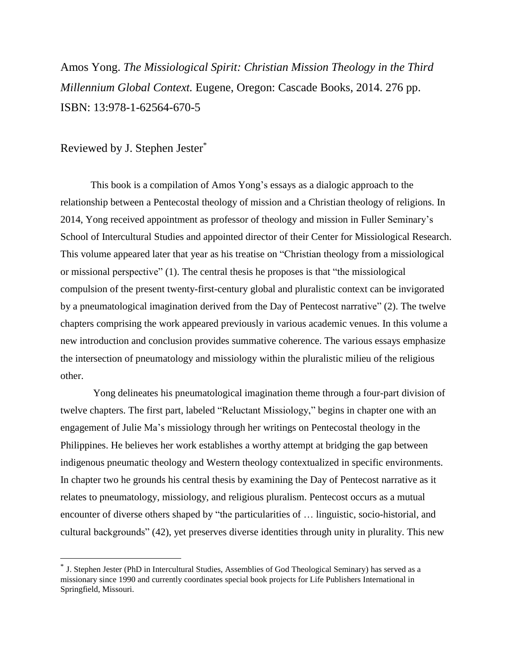Amos Yong. *The Missiological Spirit: Christian Mission Theology in the Third Millennium Global Context.* Eugene, Oregon: Cascade Books, 2014. 276 pp. ISBN: 13:978-1-62564-670-5

## Reviewed by J. Stephen Jester\*

 $\overline{a}$ 

This book is a compilation of Amos Yong's essays as a dialogic approach to the relationship between a Pentecostal theology of mission and a Christian theology of religions. In 2014, Yong received appointment as professor of theology and mission in Fuller Seminary's School of Intercultural Studies and appointed director of their Center for Missiological Research. This volume appeared later that year as his treatise on "Christian theology from a missiological or missional perspective" (1). The central thesis he proposes is that "the missiological compulsion of the present twenty-first-century global and pluralistic context can be invigorated by a pneumatological imagination derived from the Day of Pentecost narrative" (2). The twelve chapters comprising the work appeared previously in various academic venues. In this volume a new introduction and conclusion provides summative coherence. The various essays emphasize the intersection of pneumatology and missiology within the pluralistic milieu of the religious other.

Yong delineates his pneumatological imagination theme through a four-part division of twelve chapters. The first part, labeled "Reluctant Missiology," begins in chapter one with an engagement of Julie Ma's missiology through her writings on Pentecostal theology in the Philippines. He believes her work establishes a worthy attempt at bridging the gap between indigenous pneumatic theology and Western theology contextualized in specific environments. In chapter two he grounds his central thesis by examining the Day of Pentecost narrative as it relates to pneumatology, missiology, and religious pluralism. Pentecost occurs as a mutual encounter of diverse others shaped by "the particularities of … linguistic, socio-historial, and cultural backgrounds" (42), yet preserves diverse identities through unity in plurality. This new

<sup>\*</sup> J. Stephen Jester (PhD in Intercultural Studies, Assemblies of God Theological Seminary) has served as a missionary since 1990 and currently coordinates special book projects for Life Publishers International in Springfield, Missouri.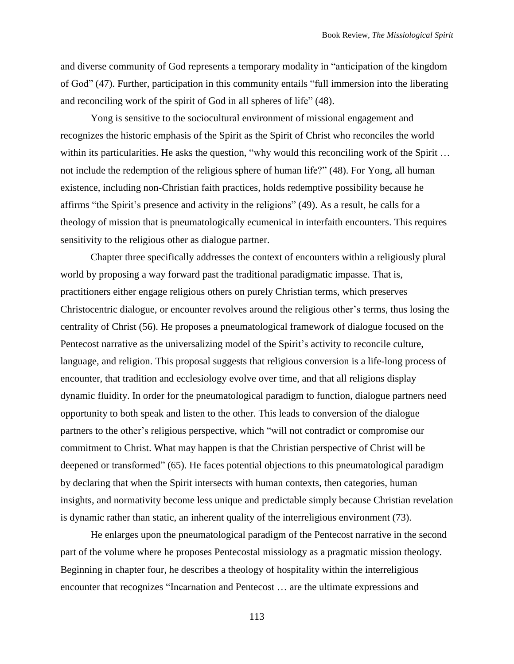and diverse community of God represents a temporary modality in "anticipation of the kingdom of God" (47). Further, participation in this community entails "full immersion into the liberating and reconciling work of the spirit of God in all spheres of life" (48).

Yong is sensitive to the sociocultural environment of missional engagement and recognizes the historic emphasis of the Spirit as the Spirit of Christ who reconciles the world within its particularities. He asks the question, "why would this reconciling work of the Spirit ... not include the redemption of the religious sphere of human life?" (48). For Yong, all human existence, including non-Christian faith practices, holds redemptive possibility because he affirms "the Spirit's presence and activity in the religions" (49). As a result, he calls for a theology of mission that is pneumatologically ecumenical in interfaith encounters. This requires sensitivity to the religious other as dialogue partner.

Chapter three specifically addresses the context of encounters within a religiously plural world by proposing a way forward past the traditional paradigmatic impasse. That is, practitioners either engage religious others on purely Christian terms, which preserves Christocentric dialogue, or encounter revolves around the religious other's terms, thus losing the centrality of Christ (56). He proposes a pneumatological framework of dialogue focused on the Pentecost narrative as the universalizing model of the Spirit's activity to reconcile culture, language, and religion. This proposal suggests that religious conversion is a life-long process of encounter, that tradition and ecclesiology evolve over time, and that all religions display dynamic fluidity. In order for the pneumatological paradigm to function, dialogue partners need opportunity to both speak and listen to the other. This leads to conversion of the dialogue partners to the other's religious perspective, which "will not contradict or compromise our commitment to Christ. What may happen is that the Christian perspective of Christ will be deepened or transformed" (65). He faces potential objections to this pneumatological paradigm by declaring that when the Spirit intersects with human contexts, then categories, human insights, and normativity become less unique and predictable simply because Christian revelation is dynamic rather than static, an inherent quality of the interreligious environment (73).

He enlarges upon the pneumatological paradigm of the Pentecost narrative in the second part of the volume where he proposes Pentecostal missiology as a pragmatic mission theology. Beginning in chapter four, he describes a theology of hospitality within the interreligious encounter that recognizes "Incarnation and Pentecost … are the ultimate expressions and

113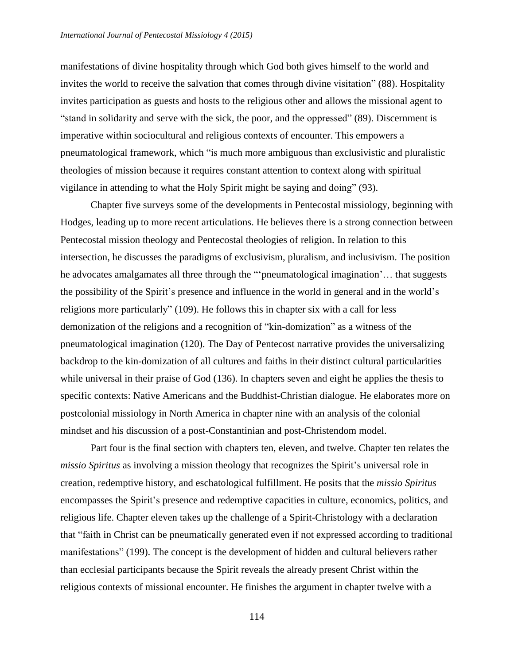manifestations of divine hospitality through which God both gives himself to the world and invites the world to receive the salvation that comes through divine visitation" (88). Hospitality invites participation as guests and hosts to the religious other and allows the missional agent to "stand in solidarity and serve with the sick, the poor, and the oppressed" (89). Discernment is imperative within sociocultural and religious contexts of encounter. This empowers a pneumatological framework, which "is much more ambiguous than exclusivistic and pluralistic theologies of mission because it requires constant attention to context along with spiritual vigilance in attending to what the Holy Spirit might be saying and doing" (93).

Chapter five surveys some of the developments in Pentecostal missiology, beginning with Hodges, leading up to more recent articulations. He believes there is a strong connection between Pentecostal mission theology and Pentecostal theologies of religion. In relation to this intersection, he discusses the paradigms of exclusivism, pluralism, and inclusivism. The position he advocates amalgamates all three through the "'pneumatological imagination'… that suggests the possibility of the Spirit's presence and influence in the world in general and in the world's religions more particularly" (109). He follows this in chapter six with a call for less demonization of the religions and a recognition of "kin-domization" as a witness of the pneumatological imagination (120). The Day of Pentecost narrative provides the universalizing backdrop to the kin-domization of all cultures and faiths in their distinct cultural particularities while universal in their praise of God (136). In chapters seven and eight he applies the thesis to specific contexts: Native Americans and the Buddhist-Christian dialogue. He elaborates more on postcolonial missiology in North America in chapter nine with an analysis of the colonial mindset and his discussion of a post-Constantinian and post-Christendom model.

Part four is the final section with chapters ten, eleven, and twelve. Chapter ten relates the *missio Spiritus* as involving a mission theology that recognizes the Spirit's universal role in creation, redemptive history, and eschatological fulfillment. He posits that the *missio Spiritus* encompasses the Spirit's presence and redemptive capacities in culture, economics, politics, and religious life. Chapter eleven takes up the challenge of a Spirit-Christology with a declaration that "faith in Christ can be pneumatically generated even if not expressed according to traditional manifestations" (199). The concept is the development of hidden and cultural believers rather than ecclesial participants because the Spirit reveals the already present Christ within the religious contexts of missional encounter. He finishes the argument in chapter twelve with a

114